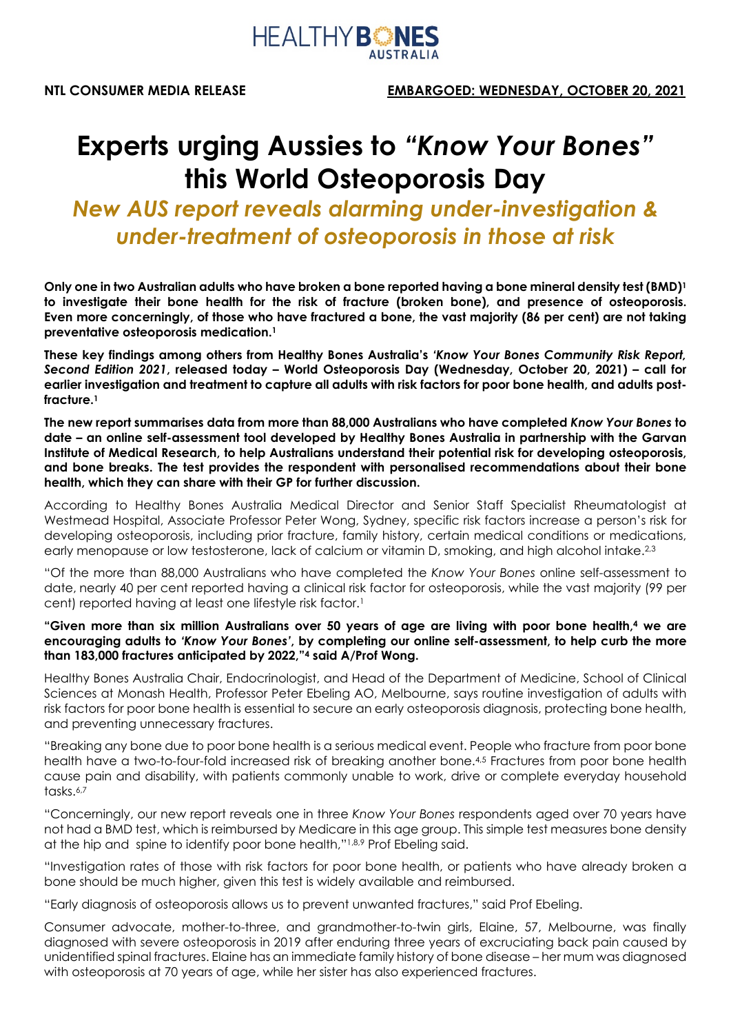

# **Experts urging Aussies to** *"Know Your Bones"* **this World Osteoporosis Day**

# *New AUS report reveals alarming under-investigation & under-treatment of osteoporosis in those at risk*

**Only one in two Australian adults who have broken a bone reported having a bone mineral density test (BMD)1 to investigate their bone health for the risk of fracture (broken bone), and presence of osteoporosis. Even more concerningly, of those who have fractured a bone, the vast majority (86 per cent) are not taking preventative osteoporosis medication.1**

**These key findings among others from Healthy Bones Australia's** *'Know Your Bones Community Risk Report, Second Edition 2021***, released today** *–* **World Osteoporosis Day (Wednesday, October 20, 2021) – call for earlier investigation and treatment to capture all adults with risk factors for poor bone health, and adults postfracture.1**

**The new report summarises data from more than 88,000 Australians who have completed** *Know Your Bones* **to date – an online self-assessment tool developed by Healthy Bones Australia in partnership with the Garvan Institute of Medical Research, to help Australians understand their potential risk for developing osteoporosis, and bone breaks. The test provides the respondent with personalised recommendations about their bone health, which they can share with their GP for further discussion.** 

According to Healthy Bones Australia Medical Director and Senior Staff Specialist Rheumatologist at Westmead Hospital, Associate Professor Peter Wong, Sydney, specific risk factors increase a person's risk for developing osteoporosis, including prior fracture, family history, certain medical conditions or medications, early menopause or low testosterone, lack of calcium or vitamin D, smoking, and high alcohol intake.<sup>2,3</sup>

"Of the more than 88,000 Australians who have completed the *Know Your Bones* online self-assessment to date, nearly 40 per cent reported having a clinical risk factor for osteoporosis, while the vast majority (99 per cent) reported having at least one lifestyle risk factor.1

#### **"Given more than six million Australians over 50 years of age are living with poor bone health,4 we are encouraging adults to** *'Know Your Bones'***, by completing our online self-assessment, to help curb the more than 183,000 fractures anticipated by 2022,"4 said A/Prof Wong.**

Healthy Bones Australia Chair, Endocrinologist, and Head of the Department of Medicine, School of Clinical Sciences at Monash Health, Professor Peter Ebeling AO, Melbourne, says routine investigation of adults with risk factors for poor bone health is essential to secure an early osteoporosis diagnosis, protecting bone health, and preventing unnecessary fractures.

"Breaking any bone due to poor bone health is a serious medical event. People who fracture from poor bone health have a two-to-four-fold increased risk of breaking another bone.4,5 Fractures from poor bone health cause pain and disability, with patients commonly unable to work, drive or complete everyday household tasks $6.7$ 

"Concerningly, our new report reveals one in three *Know Your Bones* respondents aged over 70 years have not had a BMD test, which is reimbursed by Medicare in this age group. This simple test measures bone density at the hip and spine to identify poor bone health,"1,8,9 Prof Ebeling said.

"Investigation rates of those with risk factors for poor bone health, or patients who have already broken a bone should be much higher, given this test is widely available and reimbursed.

"Early diagnosis of osteoporosis allows us to prevent unwanted fractures," said Prof Ebeling.

Consumer advocate, mother-to-three, and grandmother-to-twin girls, Elaine, 57, Melbourne, was finally diagnosed with severe osteoporosis in 2019 after enduring three years of excruciating back pain caused by unidentified spinal fractures. Elaine has an immediate family history of bone disease – her mum was diagnosed with osteoporosis at 70 years of age, while her sister has also experienced fractures.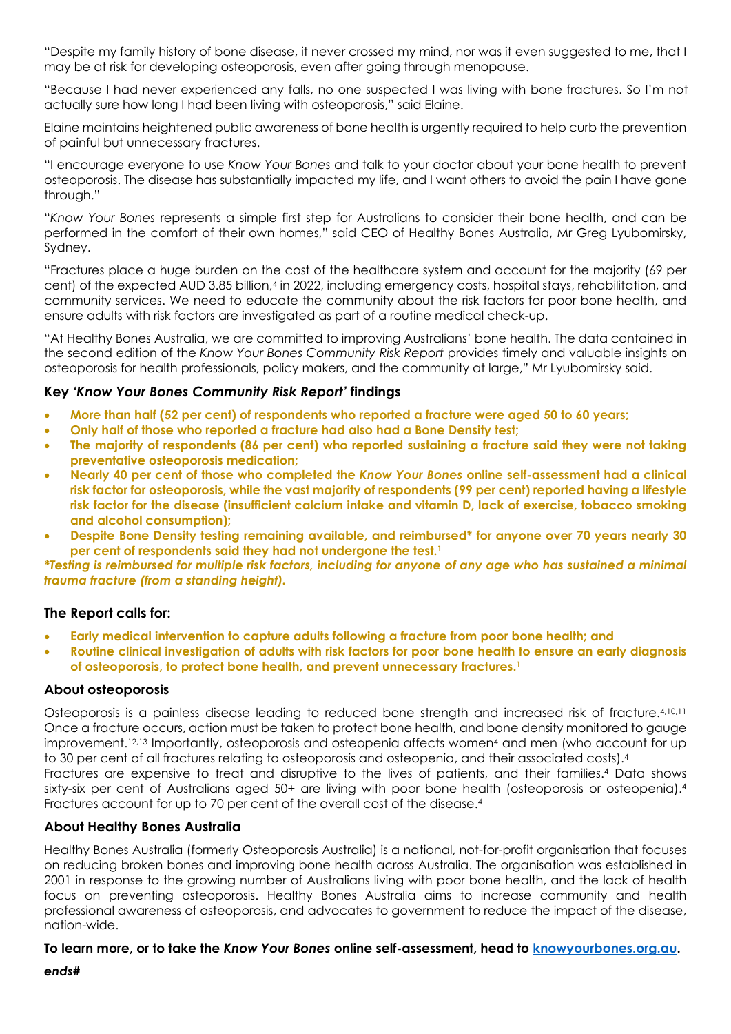"Despite my family history of bone disease, it never crossed my mind, nor was it even suggested to me, that I may be at risk for developing osteoporosis, even after going through menopause.

"Because I had never experienced any falls, no one suspected I was living with bone fractures. So I'm not actually sure how long I had been living with osteoporosis," said Elaine.

Elaine maintains heightened public awareness of bone health is urgently required to help curb the prevention of painful but unnecessary fractures.

"I encourage everyone to use *Know Your Bones* and talk to your doctor about your bone health to prevent osteoporosis. The disease has substantially impacted my life, and I want others to avoid the pain I have gone through."

"*Know Your Bones* represents a simple first step for Australians to consider their bone health, and can be performed in the comfort of their own homes," said CEO of Healthy Bones Australia, Mr Greg Lyubomirsky, Sydney.

"Fractures place a huge burden on the cost of the healthcare system and account for the majority (69 per cent) of the expected AUD 3.85 billion,<sup>4</sup> in 2022, including emergency costs, hospital stays, rehabilitation, and community services. We need to educate the community about the risk factors for poor bone health, and ensure adults with risk factors are investigated as part of a routine medical check-up.

"At Healthy Bones Australia, we are committed to improving Australians' bone health. The data contained in the second edition of the *Know Your Bones Community Risk Report* provides timely and valuable insights on osteoporosis for health professionals, policy makers, and the community at large," Mr Lyubomirsky said.

# **Key** *'Know Your Bones Community Risk Report'* **findings**

- **More than half (52 per cent) of respondents who reported a fracture were aged 50 to 60 years;**
- **Only half of those who reported a fracture had also had a Bone Density test;**
- **The majority of respondents (86 per cent) who reported sustaining a fracture said they were not taking preventative osteoporosis medication;**
- **Nearly 40 per cent of those who completed the** *Know Your Bones* **online self-assessment had a clinical risk factor for osteoporosis, while the vast majority of respondents (99 per cent) reported having a lifestyle risk factor for the disease (insufficient calcium intake and vitamin D, lack of exercise, tobacco smoking and alcohol consumption);**
- **Despite Bone Density testing remaining available, and reimbursed\* for anyone over 70 years nearly 30 per cent of respondents said they had not undergone the test.1**

*\*Testing is reimbursed for multiple risk factors, including for anyone of any age who has sustained a minimal trauma fracture (from a standing height).* 

# **The Report calls for:**

- **Early medical intervention to capture adults following a fracture from poor bone health; and**
- **Routine clinical investigation of adults with risk factors for poor bone health to ensure an early diagnosis of osteoporosis, to protect bone health, and prevent unnecessary fractures.1**

#### **About osteoporosis**

Osteoporosis is a painless disease leading to reduced bone strength and increased risk of fracture.4,10,11 Once a fracture occurs, action must be taken to protect bone health, and bone density monitored to gauge improvement.12,13 Importantly, osteoporosis and osteopenia affects women4 and men (who account for up to 30 per cent of all fractures relating to osteoporosis and osteopenia, and their associated costs).4

Fractures are expensive to treat and disruptive to the lives of patients, and their families.4 Data shows sixty-six per cent of Australians aged 50+ are living with poor bone health (osteoporosis or osteopenia).<sup>4</sup> Fractures account for up to 70 per cent of the overall cost of the disease.4

# **About Healthy Bones Australia**

Healthy Bones Australia (formerly Osteoporosis Australia) is a national, not-for-profit organisation that focuses on reducing broken bones and improving bone health across Australia. The organisation was established in 2001 in response to the growing number of Australians living with poor bone health, and the lack of health focus on preventing osteoporosis. Healthy Bones Australia aims to increase community and health professional awareness of osteoporosis, and advocates to government to reduce the impact of the disease, nation-wide.

#### **To learn more, or to take the** *Know Your Bones* **online self-assessment, head to [knowyourbones.org.au.](http://www.knowyourbones.org.au/)**

*ends#*